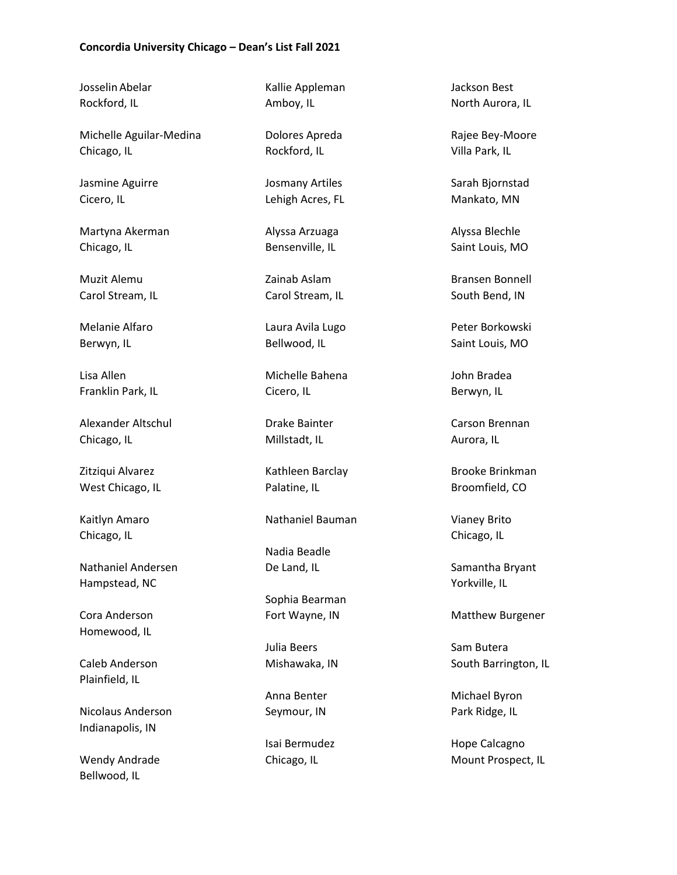Josselin Abelar Rockford, IL

Michelle Aguilar-Medina Chicago, IL

Jasmine Aguirre Cicero, IL

Martyna Akerman Chicago, IL

Muzit Alemu Carol Stream, IL

Melanie Alfaro Berwyn, IL

Lisa Allen Franklin Park, IL

Alexander Altschul Chicago, IL

Zitziqui Alvarez West Chicago, IL

Kaitlyn Amaro Chicago, IL

Nathaniel Andersen Hampstead, NC

Cora Anderson Homewood, IL

Caleb Anderson Plainfield, IL

Nicolaus Anderson Indianapolis, IN

Wendy Andrade Bellwood, IL

Kallie Appleman Amboy, IL

Dolores Apreda Rockford, IL

Josmany Artiles Lehigh Acres, FL

Alyssa Arzuaga Bensenville, IL

Zainab Aslam Carol Stream, IL

Laura Avila Lugo Bellwood, IL

Michelle Bahena Cicero, IL

Drake Bainter Millstadt, IL

Kathleen Barclay Palatine, IL

Nathaniel Bauman

Nadia Beadle De Land, IL

Sophia Bearman Fort Wayne, IN

Julia Beers Mishawaka, IN

Anna Benter Seymour, IN

Isai Bermudez Chicago, IL

Jackson Best North Aurora, IL

Rajee Bey-Moore Villa Park, IL

Sarah Bjornstad Mankato, MN

Alyssa Blechle Saint Louis, MO

Bransen Bonnell South Bend, IN

Peter Borkowski Saint Louis, MO

John Bradea Berwyn, IL

Carson Brennan Aurora, IL

Brooke Brinkman Broomfield, CO

Vianey Brito Chicago, IL

Samantha Bryant Yorkville, IL

Matthew Burgener

Sam Butera South Barrington, IL

Michael Byron Park Ridge, IL

Hope Calcagno Mount Prospect, IL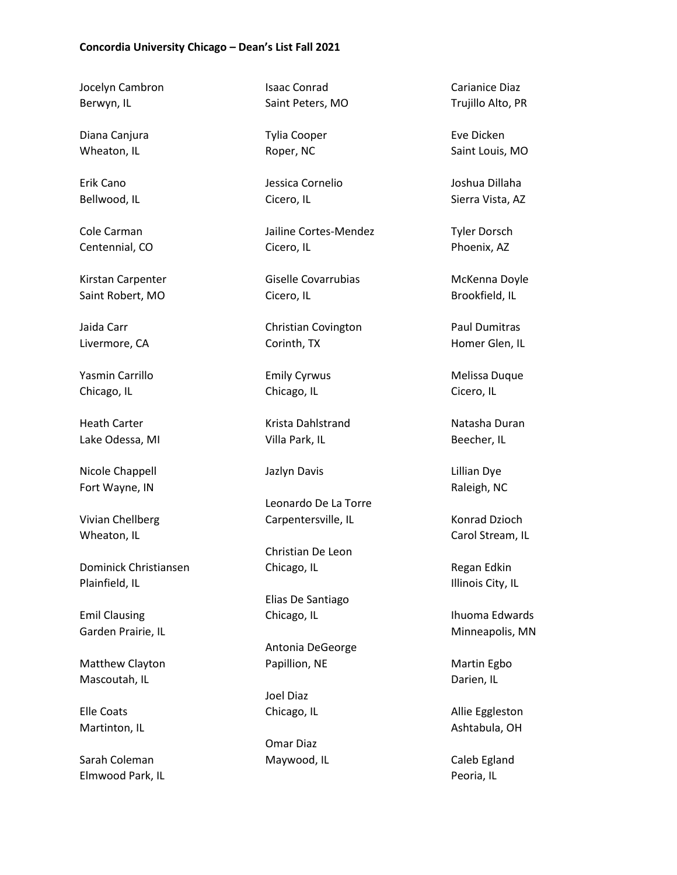Jocelyn Cambron Berwyn, IL

Diana Canjura Wheaton, IL

Erik Cano Bellwood, IL

Cole Carman Centennial, CO

Kirstan Carpenter Saint Robert, MO

Jaida Carr Livermore, CA

Yasmin Carrillo Chicago, IL

Heath Carter Lake Odessa, MI

Nicole Chappell Fort Wayne, IN

Vivian Chellberg Wheaton, IL

Dominick Christiansen Plainfield, IL

Emil Clausing Garden Prairie, IL

Matthew Clayton Mascoutah, IL

Elle Coats Martinton, IL

Sarah Coleman Elmwood Park, IL Isaac Conrad Saint Peters, MO

Tylia Cooper Roper, NC

Jessica Cornelio Cicero, IL

Jailine Cortes-Mendez Cicero, IL

Giselle Covarrubias Cicero, IL

Christian Covington Corinth, TX

Emily Cyrwus Chicago, IL

Krista Dahlstrand Villa Park, IL

Jazlyn Davis

Leonardo De La Torre Carpentersville, IL

Christian De Leon Chicago, IL

Elias De Santiago Chicago, IL

Antonia DeGeorge Papillion, NE

Joel Diaz Chicago, IL

Omar Diaz Maywood, IL

Carianice Diaz Trujillo Alto, PR

Eve Dicken Saint Louis, MO

Joshua Dillaha Sierra Vista, AZ

Tyler Dorsch Phoenix, AZ

McKenna Doyle Brookfield, IL

Paul Dumitras Homer Glen, IL

Melissa Duque Cicero, IL

Natasha Duran Beecher, IL

Lillian Dye Raleigh, NC

Konrad Dzioch Carol Stream, IL

Regan Edkin Illinois City, IL

Ihuoma Edwards Minneapolis, MN

Martin Egbo Darien, IL

Allie Eggleston Ashtabula, OH

Caleb Egland Peoria, IL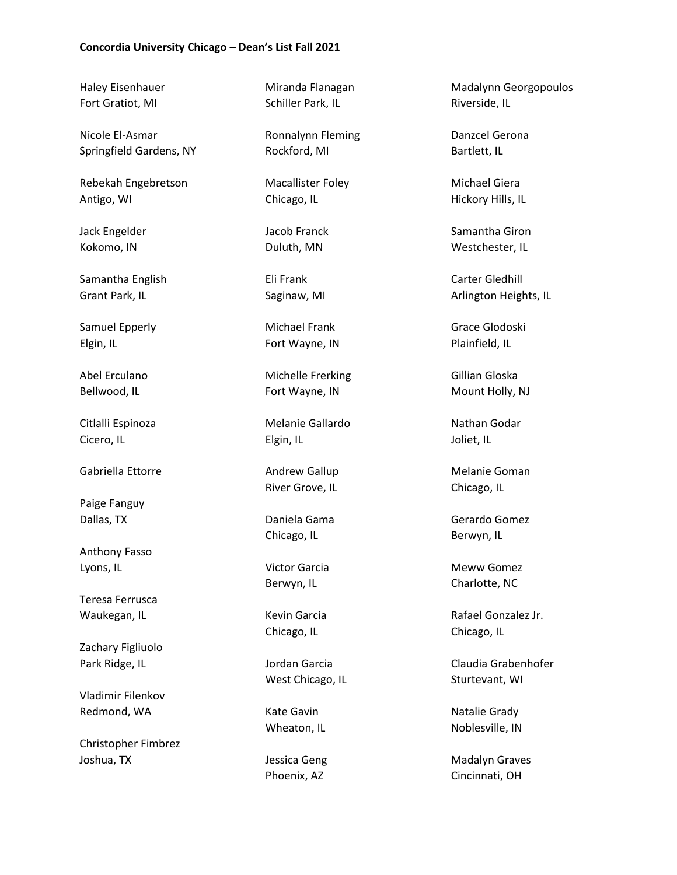Haley Eisenhauer Fort Gratiot, MI

Nicole El-Asmar Springfield Gardens, NY

Rebekah Engebretson Antigo, WI

Jack Engelder Kokomo, IN

Samantha English Grant Park, IL

Samuel Epperly Elgin, IL

Abel Erculano Bellwood, IL

Citlalli Espinoza Cicero, IL

Gabriella Ettorre

Paige Fanguy Dallas, TX

Anthony Fasso Lyons, IL

Teresa Ferrusca Waukegan, IL

Zachary Figliuolo Park Ridge, IL

Vladimir Filenkov Redmond, WA

Christopher Fimbrez Joshua, TX

Miranda Flanagan Schiller Park, IL

Ronnalynn Fleming Rockford, MI

Macallister Foley Chicago, IL

Jacob Franck Duluth, MN

Eli Frank Saginaw, MI

Michael Frank Fort Wayne, IN

Michelle Frerking Fort Wayne, IN

Melanie Gallardo Elgin, IL

Andrew Gallup River Grove, IL

Daniela Gama Chicago, IL

Victor Garcia Berwyn, IL

Kevin Garcia Chicago, IL

Jordan Garcia West Chicago, IL

Kate Gavin Wheaton, IL

Jessica Geng Phoenix, AZ

Madalynn Georgopoulos Riverside, IL

Danzcel Gerona Bartlett, IL

Michael Giera Hickory Hills, IL

Samantha Giron Westchester, IL

Carter Gledhill Arlington Heights, IL

Grace Glodoski Plainfield, IL

Gillian Gloska Mount Holly, NJ

Nathan Godar Joliet, IL

Melanie Goman Chicago, IL

Gerardo Gomez Berwyn, IL

Meww Gomez Charlotte, NC

Rafael Gonzalez Jr. Chicago, IL

Claudia Grabenhofer Sturtevant, WI

Natalie Grady Noblesville, IN

Madalyn Graves Cincinnati, OH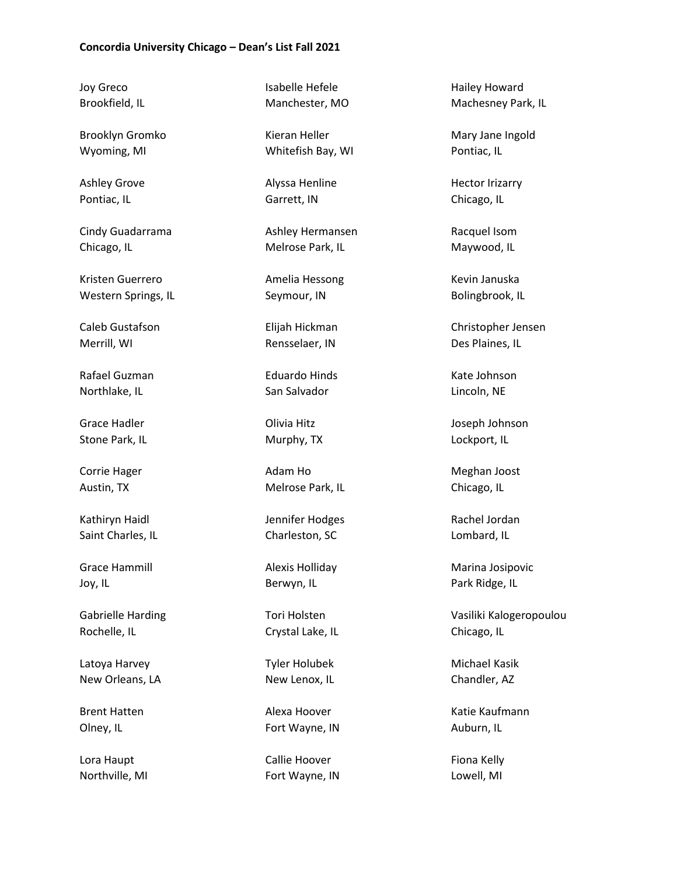Joy Greco Brookfield, IL

Brooklyn Gromko Wyoming, MI

Ashley Grove Pontiac, IL

Cindy Guadarrama Chicago, IL

Kristen Guerrero Western Springs, IL

Caleb Gustafson Merrill, WI

Rafael Guzman Northlake, IL

Grace Hadler Stone Park, IL

Corrie Hager Austin, TX

Kathiryn Haidl Saint Charles, IL

Grace Hammill Joy, IL

Gabrielle Harding Rochelle, IL

Latoya Harvey New Orleans, LA

Brent Hatten Olney, IL

Lora Haupt Northville, MI Isabelle Hefele Manchester, MO

Kieran Heller Whitefish Bay, WI

Alyssa Henline Garrett, IN

Ashley Hermansen Melrose Park, IL

Amelia Hessong Seymour, IN

Elijah Hickman Rensselaer, IN

Eduardo Hinds San Salvador

Olivia Hitz Murphy, TX

Adam Ho Melrose Park, IL

Jennifer Hodges Charleston, SC

Alexis Holliday Berwyn, IL

Tori Holsten Crystal Lake, IL

Tyler Holubek New Lenox, IL

Alexa Hoover Fort Wayne, IN

Callie Hoover Fort Wayne, IN Hailey Howard Machesney Park, IL

Mary Jane Ingold Pontiac, IL

Hector Irizarry Chicago, IL

Racquel Isom Maywood, IL

Kevin Januska Bolingbrook, IL

Christopher Jensen Des Plaines, IL

Kate Johnson Lincoln, NE

Joseph Johnson Lockport, IL

Meghan Joost Chicago, IL

Rachel Jordan Lombard, IL

Marina Josipovic Park Ridge, IL

Vasiliki Kalogeropoulou Chicago, IL

Michael Kasik Chandler, AZ

Katie Kaufmann Auburn, IL

Fiona Kelly Lowell, MI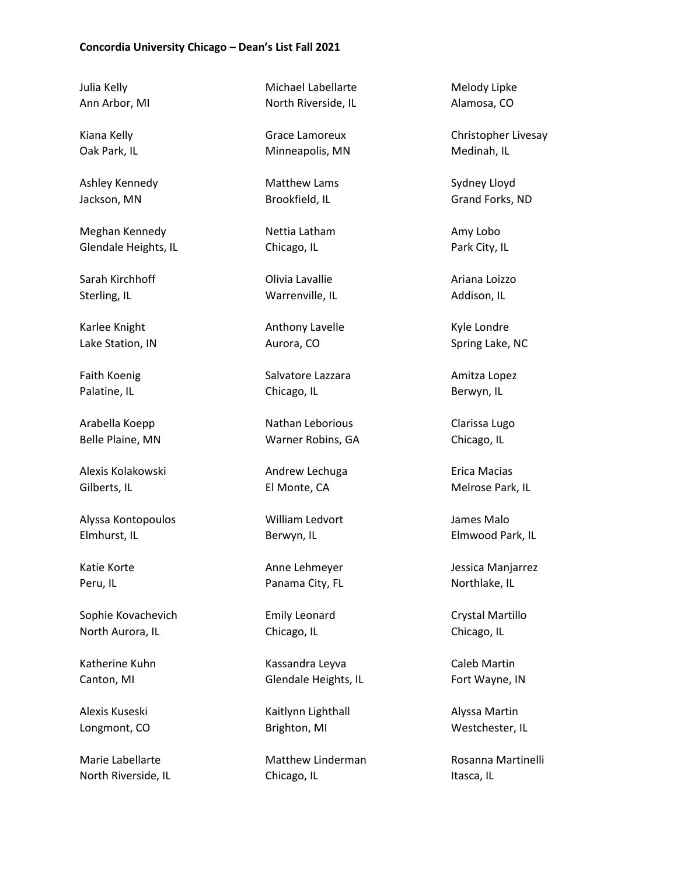Julia Kelly Ann Arbor, MI

Kiana Kelly Oak Park, IL

Ashley Kennedy Jackson, MN

Meghan Kennedy Glendale Heights, IL

Sarah Kirchhoff Sterling, IL

Karlee Knight Lake Station, IN

Faith Koenig Palatine, IL

Arabella Koepp Belle Plaine, MN

Alexis Kolakowski Gilberts, IL

Alyssa Kontopoulos Elmhurst, IL

Katie Korte Peru, IL

Sophie Kovachevich North Aurora, IL

Katherine Kuhn Canton, MI

Alexis Kuseski Longmont, CO

Marie Labellarte North Riverside, IL

Michael Labellarte North Riverside, IL

Grace Lamoreux Minneapolis, MN

Matthew Lams Brookfield, IL

Nettia Latham Chicago, IL

Olivia Lavallie Warrenville, IL

Anthony Lavelle Aurora, CO

Salvatore Lazzara Chicago, IL

Nathan Leborious Warner Robins, GA

Andrew Lechuga El Monte, CA

William Ledvort Berwyn, IL

Anne Lehmeyer Panama City, FL

Emily Leonard Chicago, IL

Kassandra Leyva Glendale Heights, IL

Kaitlynn Lighthall Brighton, MI

Matthew Linderman Chicago, IL

Melody Lipke Alamosa, CO

Christopher Livesay Medinah, IL

Sydney Lloyd Grand Forks, ND

Amy Lobo Park City, IL

Ariana Loizzo Addison, IL

Kyle Londre Spring Lake, NC

Amitza Lopez Berwyn, IL

Clarissa Lugo Chicago, IL

Erica Macias Melrose Park, IL

James Malo Elmwood Park, IL

Jessica Manjarrez Northlake, IL

Crystal Martillo Chicago, IL

Caleb Martin Fort Wayne, IN

Alyssa Martin Westchester, IL

Rosanna Martinelli Itasca, IL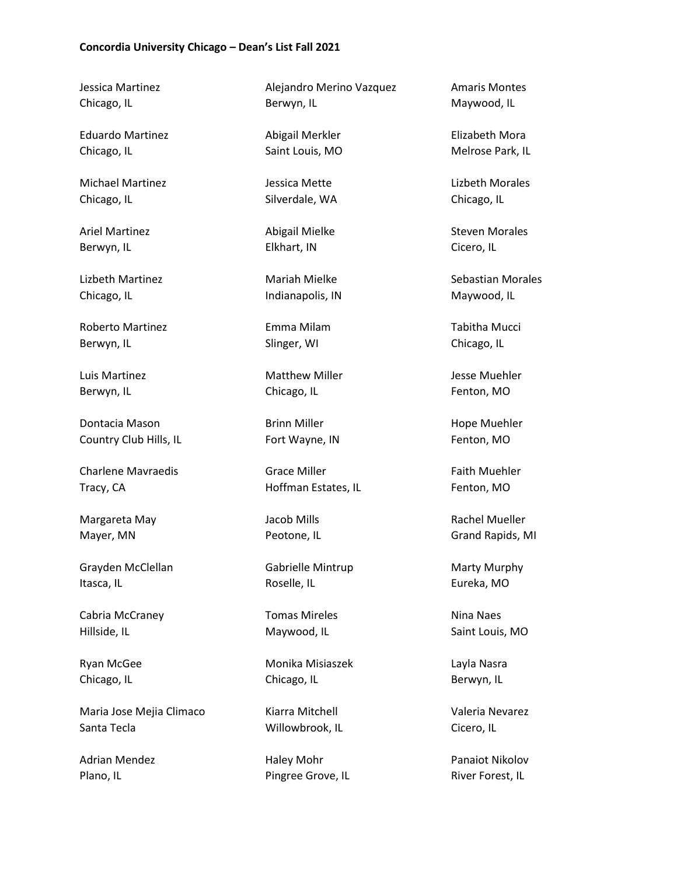Jessica Martinez Chicago, IL

Eduardo Martinez Chicago, IL

Michael Martinez Chicago, IL

Ariel Martinez Berwyn, IL

Lizbeth Martinez Chicago, IL

Roberto Martinez Berwyn, IL

Luis Martinez Berwyn, IL

Dontacia Mason Country Club Hills, IL

Charlene Mavraedis Tracy, CA

Margareta May Mayer, MN

Grayden McClellan Itasca, IL

Cabria McCraney Hillside, IL

Ryan McGee Chicago, IL

Maria Jose Mejia Climaco Santa Tecla

Adrian Mendez Plano, IL

Alejandro Merino Vazquez Berwyn, IL

Abigail Merkler Saint Louis, MO

Jessica Mette Silverdale, WA

Abigail Mielke Elkhart, IN

Mariah Mielke Indianapolis, IN

Emma Milam Slinger, WI

Matthew Miller Chicago, IL

Brinn Miller Fort Wayne, IN

Grace Miller Hoffman Estates, IL

Jacob Mills Peotone, IL

Gabrielle Mintrup Roselle, IL

Tomas Mireles Maywood, IL

Monika Misiaszek Chicago, IL

Kiarra Mitchell Willowbrook, IL

Haley Mohr Pingree Grove, IL Amaris Montes Maywood, IL

Elizabeth Mora Melrose Park, IL

Lizbeth Morales Chicago, IL

Steven Morales Cicero, IL

Sebastian Morales Maywood, IL

Tabitha Mucci Chicago, IL

Jesse Muehler Fenton, MO

Hope Muehler Fenton, MO

Faith Muehler Fenton, MO

Rachel Mueller Grand Rapids, MI

Marty Murphy Eureka, MO

Nina Naes Saint Louis, MO

Layla Nasra Berwyn, IL

Valeria Nevarez Cicero, IL

Panaiot Nikolov River Forest, IL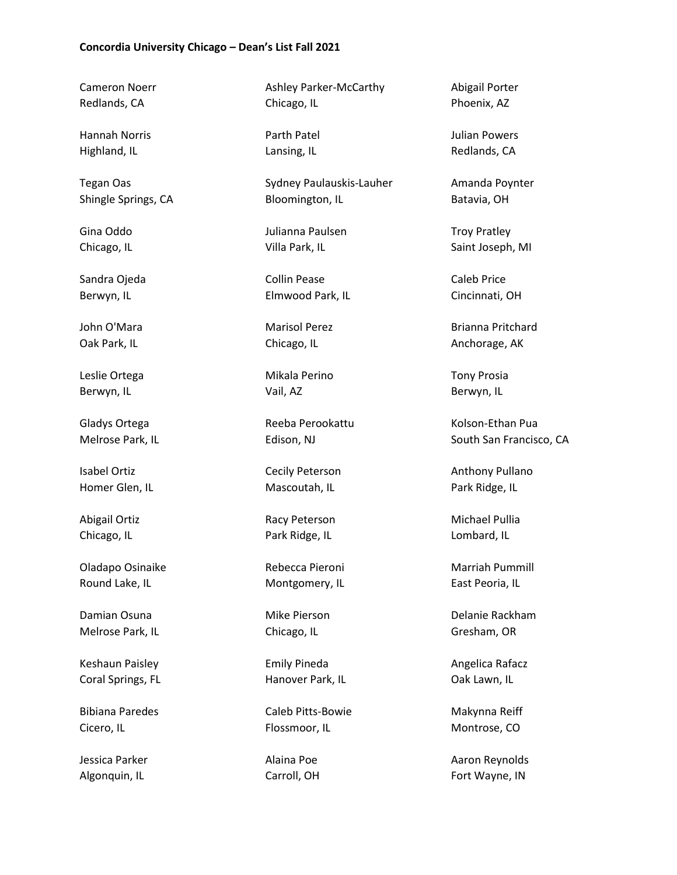Cameron Noerr Redlands, CA

Hannah Norris Highland, IL

Tegan Oas Shingle Springs, CA

Gina Oddo Chicago, IL

Sandra Ojeda Berwyn, IL

John O'Mara Oak Park, IL

Leslie Ortega Berwyn, IL

Gladys Ortega Melrose Park, IL

Isabel Ortiz Homer Glen, IL

Abigail Ortiz Chicago, IL

Oladapo Osinaike Round Lake, IL

Damian Osuna Melrose Park, IL

Keshaun Paisley Coral Springs, FL

Bibiana Paredes Cicero, IL

Jessica Parker Algonquin, IL

Ashley Parker-McCarthy Chicago, IL

Parth Patel Lansing, IL

Sydney Paulauskis-Lauher Bloomington, IL

Julianna Paulsen Villa Park, IL

Collin Pease Elmwood Park, IL

Marisol Perez Chicago, IL

Mikala Perino Vail, AZ

Reeba Perookattu Edison, NJ

Cecily Peterson Mascoutah, IL

Racy Peterson Park Ridge, IL

Rebecca Pieroni Montgomery, IL

Mike Pierson Chicago, IL

Emily Pineda Hanover Park, IL

Caleb Pitts-Bowie Flossmoor, IL

Alaina Poe Carroll, OH Abigail Porter Phoenix, AZ

Julian Powers Redlands, CA

Amanda Poynter Batavia, OH

Troy Pratley Saint Joseph, MI

Caleb Price Cincinnati, OH

Brianna Pritchard Anchorage, AK

Tony Prosia Berwyn, IL

Kolson-Ethan Pua South San Francisco, CA

Anthony Pullano Park Ridge, IL

Michael Pullia Lombard, IL

Marriah Pummill East Peoria, IL

Delanie Rackham Gresham, OR

Angelica Rafacz Oak Lawn, IL

Makynna Reiff Montrose, CO

Aaron Reynolds Fort Wayne, IN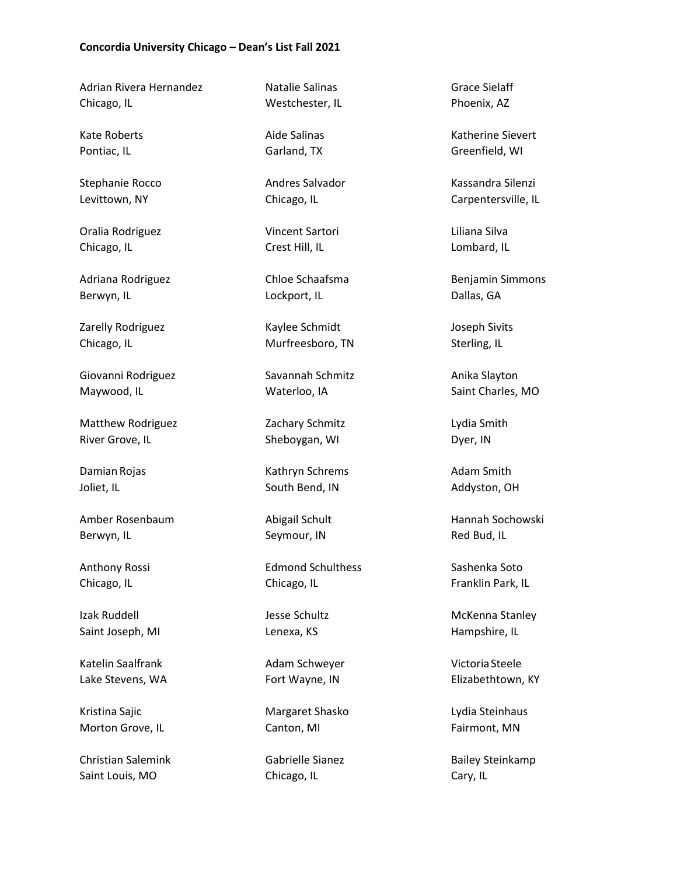Adrian Rivera Hernandez Chicago, IL

Kate Roberts Pontiac, IL

Stephanie Rocco Levittown, NY

Oralia Rodriguez Chicago, IL

Adriana Rodriguez Berwyn, IL

Zarelly Rodriguez Chicago, IL

Giovanni Rodriguez Maywood, IL

Matthew Rodriguez River Grove, IL

Damian Rojas Joliet, IL

Amber Rosenbaum Berwyn, IL

Anthony Rossi Chicago, IL

Izak Ruddell Saint Joseph, MI

Katelin Saalfrank Lake Stevens, WA

Kristina Sajic Morton Grove, IL

Christian Salemink Saint Louis, MO

Natalie Salinas Westchester, IL

Aide Salinas Garland, TX

Andres Salvador Chicago, IL

Vincent Sartori Crest Hill, IL

Chloe Schaafsma Lockport, IL

Kaylee Schmidt Murfreesboro, TN

Savannah Schmitz Waterloo, IA

Zachary Schmitz Sheboygan, WI

Kathryn Schrems South Bend, IN

Abigail Schult Seymour, IN

Edmond Schulthess Chicago, IL

Jesse Schultz Lenexa, KS

Adam Schweyer Fort Wayne, IN

Margaret Shasko Canton, MI

Gabrielle Sianez Chicago, IL

Grace Sielaff Phoenix, AZ

Katherine Sievert Greenfield, WI

Kassandra Silenzi Carpentersville, IL

Liliana Silva Lombard, IL

Benjamin Simmons Dallas, GA

Joseph Sivits Sterling, IL

Anika Slayton Saint Charles, MO

Lydia Smith Dyer, IN

Adam Smith Addyston, OH

Hannah Sochowski Red Bud, IL

Sashenka Soto Franklin Park, IL

McKenna Stanley Hampshire, IL

VictoriaSteele Elizabethtown, KY

Lydia Steinhaus Fairmont, MN

Bailey Steinkamp Cary, IL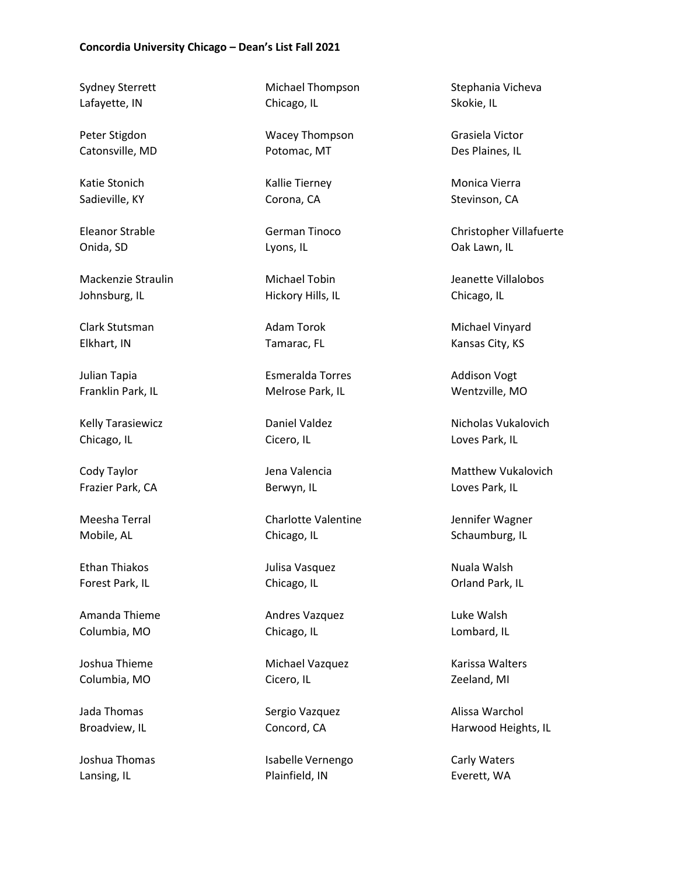Sydney Sterrett Lafayette, IN

Peter Stigdon Catonsville, MD

Katie Stonich Sadieville, KY

Eleanor Strable Onida, SD

Mackenzie Straulin Johnsburg, IL

Clark Stutsman Elkhart, IN

Julian Tapia Franklin Park, IL

Kelly Tarasiewicz Chicago, IL

Cody Taylor Frazier Park, CA

Meesha Terral Mobile, AL

Ethan Thiakos Forest Park, IL

Amanda Thieme Columbia, MO

Joshua Thieme Columbia, MO

Jada Thomas Broadview, IL

Joshua Thomas Lansing, IL

Michael Thompson Chicago, IL

Wacey Thompson Potomac, MT

Kallie Tierney Corona, CA

German Tinoco Lyons, IL

Michael Tobin Hickory Hills, IL

Adam Torok Tamarac, FL

Esmeralda Torres Melrose Park, IL

Daniel Valdez Cicero, IL

Jena Valencia Berwyn, IL

Charlotte Valentine Chicago, IL

Julisa Vasquez Chicago, IL

Andres Vazquez Chicago, IL

Michael Vazquez Cicero, IL

Sergio Vazquez Concord, CA

Isabelle Vernengo Plainfield, IN

Stephania Vicheva Skokie, IL

Grasiela Victor Des Plaines, IL

Monica Vierra Stevinson, CA

Christopher Villafuerte Oak Lawn, IL

Jeanette Villalobos Chicago, IL

Michael Vinyard Kansas City, KS

Addison Vogt Wentzville, MO

Nicholas Vukalovich Loves Park, IL

Matthew Vukalovich Loves Park, IL

Jennifer Wagner Schaumburg, IL

Nuala Walsh Orland Park, IL

Luke Walsh Lombard, IL

Karissa Walters Zeeland, MI

Alissa Warchol Harwood Heights, IL

Carly Waters Everett, WA